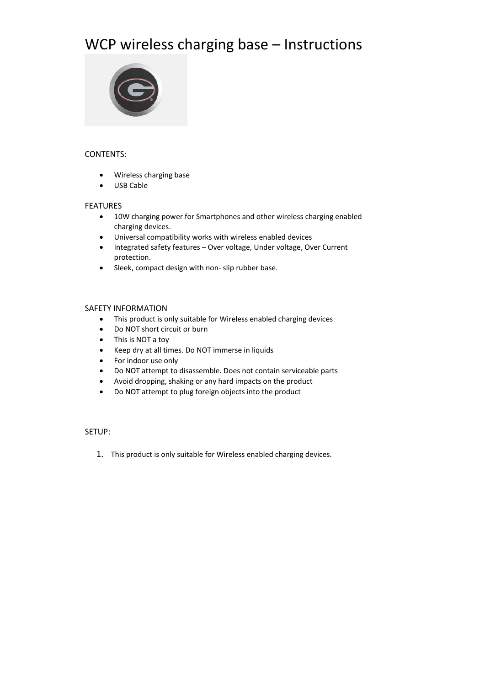# WCP wireless charging base – Instructions



# CONTENTS:

- Wireless charging base
- USB Cable

# FEATURES

- 10W charging power for Smartphones and other wireless charging enabled charging devices.
- Universal compatibility works with wireless enabled devices
- Integrated safety features Over voltage, Under voltage, Over Current protection.
- Sleek, compact design with non‐ slip rubber base.

# SAFETY INFORMATION

- This product is only suitable for Wireless enabled charging devices
- Do NOT short circuit or burn
- This is NOT a toy
- Keep dry at all times. Do NOT immerse in liquids
- For indoor use only
- Do NOT attempt to disassemble. Does not contain serviceable parts
- Avoid dropping, shaking or any hard impacts on the product
- Do NOT attempt to plug foreign objects into the product

## SETUP:

1. This product is only suitable for Wireless enabled charging devices.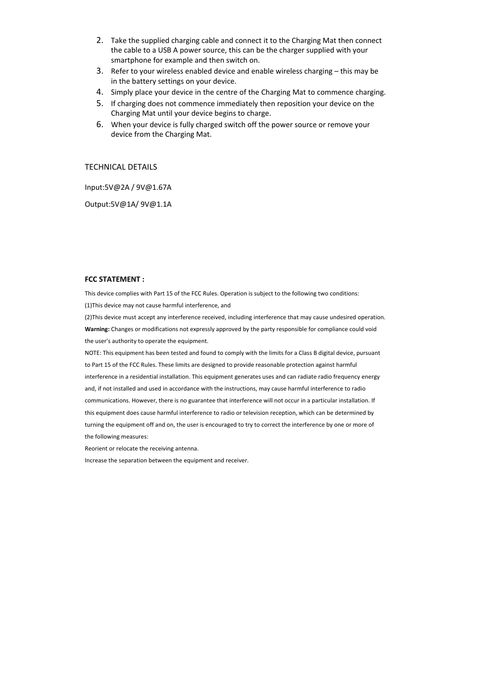- 2. Take the supplied charging cable and connect it to the Charging Mat then connect the cable to a USB A power source, this can be the charger supplied with your smartphone for example and then switch on.
- 3. Refer to your wireless enabled device and enable wireless charging this may be in the battery settings on your device.
- 4. Simply place your device in the centre of the Charging Mat to commence charging.
- 5. If charging does not commence immediately then reposition your device on the Charging Mat until your device begins to charge.
- 6. When your device is fully charged switch off the power source or remove your device from the Charging Mat.

### TECHNICAL DETAILS

Input:5V@2A / 9V@1.67A

Output:5V@1A/ 9V@1.1A

#### **FCC STATEMENT :**

This device complies with Part 15 of the FCC Rules. Operation is subject to the following two conditions: (1)This device may not cause harmful interference, and

(2)This device must accept any interference received, including interference that may cause undesired operation. **Warning:** Changes or modifications not expressly approved by the party responsible for compliance could void the user's authority to operate the equipment.

NOTE: This equipment has been tested and found to comply with the limits for a Class B digital device, pursuant to Part 15 of the FCC Rules. These limits are designed to provide reasonable protection against harmful interference in a residential installation. This equipment generates uses and can radiate radio frequency energy and, if not installed and used in accordance with the instructions, may cause harmful interference to radio communications. However, there is no guarantee that interference will not occur in a particular installation. If this equipment does cause harmful interference to radio or television reception, which can be determined by turning the equipment off and on, the user is encouraged to try to correct the interference by one or more of the following measures:

Reorient or relocate the receiving antenna.

Increase the separation between the equipment and receiver.